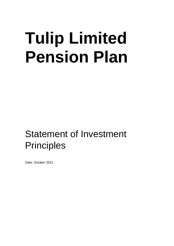# **Tulip Limited Pension Plan**

## Statement of Investment **Principles**

Date: October 2021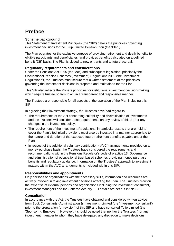## **Preface**

#### **Scheme background**

This Statement of Investment Principles (the 'SIP') details the principles governing investment decisions for the Tulip Limited Pension Plan (the 'Plan').

The Plan operates for the exclusive purpose of providing retirement and death benefits to eligible participants and beneficiaries, and provides benefits calculated on a defined benefit (DB) basis. The Plan is closed to new entrants and to future accrual.

#### **Regulatory requirements and considerations**

Under the Pensions Act 1995 (the 'Act') and subsequent legislation, principally the Occupational Pension Schemes (Investment) Regulations 2005 (the 'Investment Regulations'), the Trustees must secure that a written statement of the principles governing the investment decisions is prepared and maintained for the Plan.

This SIP also reflects the Myners principles for institutional investment decision-making, which require trustee boards to act in a transparent and responsible manner.

The Trustees are responsible for all aspects of the operation of the Plan including this SIP.

In agreeing their investment strategy, the Trustees have had regard to:

- The requirements of the Act concerning suitability and diversification of investments and the Trustees will consider those requirements on any review of this SIP or any changes in the investment policy.
- The requirement of the Investment Regulations: in particular assets that are held to cover the Plan's technical provisions must also be invested in a manner appropriate to the nature and duration of the expected future retirement benefits payable under the Plan.
- In respect of the additional voluntary contribution ('AVC') arrangements provided on a money-purchase basis, the Trustees have considered the requirements and recommendations within the Pensions Regulator's code of practice 13: Governance and administration of occupational trust-based schemes providing money purchase benefits and regulatory guidance. Information on the Trustees' approach to investment matters within the AVC arrangements is included within this SIP.

#### **Responsibilities and appointments**

Only persons or organisations with the necessary skills, information and resources are actively involved in taking investment decisions affecting the Plan. The Trustees draw on the expertise of external persons and organisations including the investment consultant, investment managers and the Scheme Actuary. Full details are set out in this SIP.

#### **Consultation**

In accordance with the Act, the Trustees have obtained and considered written advice from Buck Consultants (Administration & Investment) Limited (the 'investment consultant') prior to the preparation (or revision) of this SIP and have consulted Tulip Limited (the 'Sponsoring Employer'). However, it should be noted that neither the Trustees (nor any investment manager to whom they have delegated any discretion to make decisions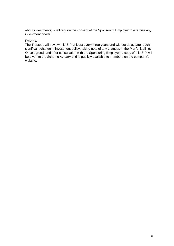about investments) shall require the consent of the Sponsoring Employer to exercise any investment power.

#### **Review**

The Trustees will review this SIP at least every three years and without delay after each significant change in investment policy, taking note of any changes in the Plan's liabilities. Once agreed, and after consultation with the Sponsoring Employer, a copy of this SIP will be given to the Scheme Actuary and is publicly available to members on the company's website.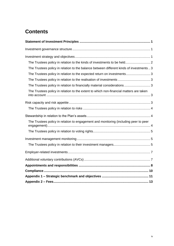## **Contents**

| The Trustees policy in relation to the kinds of investments to be held 2                |
|-----------------------------------------------------------------------------------------|
| The Trustees policy in relation to the balance between different kinds of investments 3 |
| The Trustees policy in relation to the expected return on investments 3                 |
| The Trustees policy in relation to the realisation of investments  3                    |
| The Trustees policy in relation to financially material considerations  3               |
| The Trustees policy in relation to the extent to which non-financial matters are taken  |
|                                                                                         |
|                                                                                         |
|                                                                                         |
| The Trustees policy in relation to engagement and monitoring (including peer to peer    |
|                                                                                         |
|                                                                                         |
|                                                                                         |
|                                                                                         |
|                                                                                         |
|                                                                                         |
|                                                                                         |
|                                                                                         |
|                                                                                         |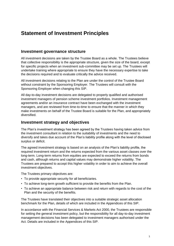## <span id="page-4-0"></span>**Statement of Investment Principles**

#### <span id="page-4-1"></span>**Investment governance structure**

All investment decisions are taken by the Trustee Board as a whole. The Trustees believe that collective responsibility is the appropriate structure, given the size of the board, except for specific projects when an investment sub-committee may be set up. The Trustees will undertake training where appropriate to ensure they have the necessary expertise to take the decisions required and to evaluate critically the advice received.

All investment decisions relating to the Plan are under the control of the Trustee Board without constraint by the Sponsoring Employer. The Trustees will consult with the Sponsoring Employer when changing this SIP.

All day-to-day investment decisions are delegated to properly qualified and authorised investment managers of pension scheme investment portfolios. Investment management agreements and/or an insurance contract have been exchanged with the investment managers, and are reviewed from time-to-time to ensure that the manner in which they make investments on behalf of the Trustee Board is suitable for the Plan, and appropriately diversified.

#### <span id="page-4-2"></span>**Investment strategy and objectives**

The Plan's investment strategy has been agreed by the Trustees having taken advice from the investment consultant in relation to the suitability of investments and the need to diversify and takes due account of the Plan's liability profile along with the level of disclosed surplus or deficit.

The agreed investment strategy is based on an analysis of the Plan's liability profile, the required investment return and the returns expected from the various asset classes over the long-term. Long-term returns from equities are expected to exceed the returns from bonds and cash, although returns and capital values may demonstrate higher volatility. The Trustees are prepared to accept this higher volatility in order to aim to achieve the overall investment objectives.

The Trustees primary objectives are:

- To provide appropriate security for all beneficiaries.
- To achieve long-term growth sufficient to provide the benefits from the Plan.
- To achieve an appropriate balance between risk and return with regards to the cost of the Plan and the security of the benefits.

The Trustees have translated their objectives into a suitable strategic asset allocation benchmark for the Plan, details of which are included in the Appendices of this SIP.

In accordance with the Financial Services & Markets Act 2000, the Trustees are responsible for setting the general investment policy, but the responsibility for all day-to-day investment management decisions has been delegated to investment managers authorised under the Act. Details are included in the Appendices of this SIP.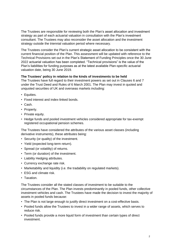The Trustees are responsible for reviewing both the Plan's asset allocation and investment strategy as part of each actuarial valuation in consultation with the Plan's investment consultant. The Trustees may also reconsider the asset allocation and the investment strategy outside the triennial valuation period where necessary.

The Trustees consider the Plan's current strategic asset allocation to be consistent with the current financial position of the Plan. This assessment will be updated with reference to the Technical Provisions set out in the Plan's Statement of Funding Principles once the 30 June 2022 actuarial valuation has been completed. "Technical provisions" is the value of the Plan's liabilities for funding purposes as at the latest available Plan-specific actuarial valuation date, being 30 June 2019.

#### <span id="page-5-0"></span>**The Trustees' policy in relation to the kinds of investments to be held**

The Trustees have full regard to their investment powers as set out in Clauses 6 and 7 under the Trust Deed and Rules of 6 March 2001. The Plan may invest in quoted and unquoted securities of UK and overseas markets including:

- Equities.
- Fixed interest and index-linked bonds.
- Cash.
- Property.
- Private equity.
- Hedge funds and pooled investment vehicles considered appropriate for tax-exempt registered occupational pension schemes.

The Trustees have considered the attributes of the various asset classes (including derivative instruments), these attributes being:

- Security (or quality) of the investment.
- Yield (expected long-term return).
- Spread (or volatility) of returns.
- Term (or duration) of the investment.
- Liability Hedging attributes.
- Currency exchange rate risk.
- Marketability and liquidity (i.e. the tradability on regulated markets).
- ESG and climate risk.
- Taxation.

The Trustees consider all the stated classes of investment to be suitable to the circumstances of the Plan. The Plan invests predominantly in pooled funds, other collective investment vehicles and cash. The Trustees have made the decision to invest the majority of assets in pooled funds because:

- The Plan is not large enough to justify direct investment on a cost-effective basis.
- Pooled funds allow the Trustees to invest in a wider range of assets, which serves to reduce risk.
- Pooled funds provide a more liquid form of investment than certain types of direct investment.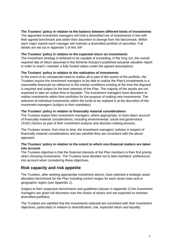#### <span id="page-6-0"></span>**The Trustees' policy in relation to the balance between different kinds of investments**

The appointed investment managers will hold a diversified mix of investments in line with their agreed benchmark and within their discretion to diverge from the benchmark. Within each major market each manager will maintain a diversified portfolio of securities. Full details are set out in Appendix 1 of this SIP.

#### <span id="page-6-1"></span>**The Trustees' policy in relation to the expected return on investments**

The investment strategy is believed to be capable of exceeding, in the long run, the overall required rate of return assumed in the Scheme Actuary's published actuarial valuation report in order to reach / maintain a fully funded status under the agreed assumptions.

#### <span id="page-6-2"></span>**The Trustees' policy in relation to the realisation of investments**

In the event of an unexpected need to realise all or part of the assets of the portfolio, the Trustees require the investment managers to be able to realise the Plan's investments in a reasonable timescale by reference to the market conditions existing at the time the disposal is required and subject to the best interests of the Plan. The majority of the assets are not expected to take an undue time to liquidate. The investment managers have discretion to realise investments within their portfolios for the purpose of making new investments. The selection of individual investments within the funds to be realised is at the discretion of the investment managers (subject to their mandates).

#### <span id="page-6-3"></span>**The Trustees' policy in relation to financially material considerations**

The Trustees expect their investment managers, where appropriate, to have taken account of financially material considerations, including environmental, social and governance ('ESG') factors as part of their investment analysis and decision-making process.

The Trustees review, from time to time, the investment managers' policies in respect of financially material considerations and are satisfied they are consistent with the above approach.

#### <span id="page-6-4"></span>**The Trustees' policy in relation to the extent to which non-financial matters are taken into account**

The Trustees objective is that the financial interests of the Plan members is their first priority when choosing investments. The Trustees have decided not to take members' preferences into account when considering these objectives.

#### <span id="page-6-5"></span>**Risk capacity and risk appetite**

The Trustees, after seeking appropriate investment advice, have selected a strategic asset allocation benchmark for the Plan including control ranges for each asset class and or geographic region (see Appendix 1).

Subject to their respective benchmarks and guidelines (shown in Appendix 1) the investment managers are given full discretion over the choice of stocks and are expected to maintain diversified portfolios.

The Trustees are satisfied that the investments selected are consistent with their investment objectives, particularly in relation to diversification, risk, expected return and liquidity.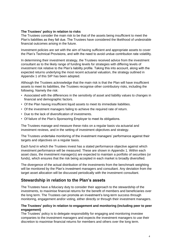#### <span id="page-7-0"></span>**The Trustees' policy in relation to risks**

The Trustees consider the main risk to be that of the assets being insufficient to meet the Plan's liabilities as they fall due. The Trustees have considered the likelihood of undesirable financial outcomes arising in the future.

Investment policies are set with the aim of having sufficient and appropriate assets to cover the Plan's Technical Provisions, and with the need to avoid undue contribution rate volatility.

In determining their investment strategy, the Trustees received advice from the investment consultant as to the likely range of funding levels for strategies with differing levels of investment risk relative to the Plan's liability profile. Taking this into account, along with the expected returns underlying the most recent actuarial valuation, the strategy outlined in Appendix 1 of this SIP has been adopted.

Although the Trustees acknowledge that the main risk is that the Plan will have insufficient assets to meet its liabilities, the Trustees recognise other contributory risks, including the following. Namely the risk:

- Associated with the differences in the sensitivity of asset and liability values to changes in financial and demographic factors.
- Of the Plan having insufficient liquid assets to meet its immediate liabilities.
- Of the investment managers failing to achieve the required rate of return.
- Due to the lack of diversification of investments.
- Of failure of the Plan's Sponsoring Employer to meet its obligations.

The Trustees manage and measure these risks on a regular basis via actuarial and investment reviews, and in the setting of investment objectives and strategy.

The Trustees undertake monitoring of the investment managers' performance against their targets and objectives on a regular basis.

Each fund in which the Trustees invest has a stated performance objective against which investment performance will be measured. These are shown in Appendix 1. Within each asset class, the investment manager(s) are expected to maintain a portfolio of securities (or funds), which ensures that the risk being accepted in each market is broadly diversified.

The divergence of the actual distribution of the investments from the benchmark weighting will be monitored by the Plan's investment managers and consultant. Any deviation from the target asset allocation will be discussed periodically with the investment consultant.

#### <span id="page-7-1"></span>**Stewardship in relation to the Plan's assets**

The Trustees have a fiduciary duty to consider their approach to the stewardship of the investments, to maximise financial returns for the benefit of members and beneficiaries over the long term. The Trustees can promote an investment's long-term success through monitoring, engagement and/or voting, either directly or through their investment managers.

#### <span id="page-7-2"></span>**The Trustees' policy in relation to engagement and monitoring (including peer to peer engagement)**

The Trustees' policy is to delegate responsibility for engaging and monitoring investee companies to the investment managers and expects the investment managers to use their discretion to maximise financial returns for members and others over the long term.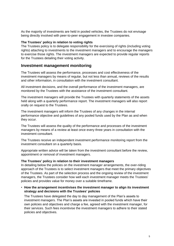As the majority of investments are held in pooled vehicles, the Trustees do not envisage being directly involved with peer-to-peer engagement in investee companies.

#### <span id="page-8-0"></span>**The Trustees' policy in relation to voting rights**

The Trustees policy is to delegate responsibility for the exercising of rights (including voting rights) attaching to investments to the investment managers and to encourage the managers to exercise those rights. The investment managers are expected to provide regular reports for the Trustees detailing their voting activity.

#### <span id="page-8-1"></span>**Investment management monitoring**

The Trustees will assess the performance, processes and cost effectiveness of the investment managers by means of regular, but not less than annual, reviews of the results and other information, in consultation with the investment consultant.

All investment decisions, and the overall performance of the investment managers, are monitored by the Trustees with the assistance of the investment consultant.

The investment managers will provide the Trustees with quarterly statements of the assets held along with a quarterly performance report. The investment managers will also report orally on request to the Trustees.

The investment managers will inform the Trustees of any changes in the internal performance objective and guidelines of any pooled funds used by the Plan as and when they occur.

The Trustees will assess the quality of the performance and processes of the investment managers by means of a review at least once every three years in consultation with the investment consultant.

The Trustees receive an independent investment performance monitoring report from the investment consultant on a quarterly basis.

Appropriate written advice will be taken from the investment consultant before the review, appointment or removal of investment managers.

#### <span id="page-8-2"></span>**The Trustees' policy in relation to their investment managers**

In detailing below the policies on the investment manager arrangements, the over-riding approach of the Trustees is to select investment managers that meet the primary objectives of the Trustees. As part of the selection process and the ongoing review of the investment managers, the Trustees consider how well each investment manager meets the Trustees' policies and provides value for money over a suitable timeframe.

#### • **How the arrangement incentivises the investment manager to align its investment strategy and decisions with the Trustees' policies**

The Trustees have delegated the day to day management of the Plan's assets to investment managers. The Plan's assets are invested in pooled funds which have their own policies and objectives and charge a fee, agreed with the investment manager, for their services. Such fees incentivise the investment managers to adhere to their stated policies and objectives.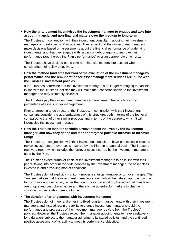• **How the arrangement incentivises the investment manager to engage and take into account financial and non-financial matters over the medium to long-term**

The Trustees, in conjunction with their investment consultant, appoint their investment managers to meet specific Plan policies. They expect that their investment managers make decisions based on assessments about the financial performance of underlying investments, and that they engage with issuers of debt or equity to improve their performance (and thereby the Plan's performance) over an appropriate time horizon.

The Trustees have decided not to take non-financial matters into account when considering their policy objectives.

• **How the method (and time horizon) of the evaluation of the investment manager's performance and the remuneration for asset management services are in line with the Trustees' investment policies**

If the Trustees determine that the investment manager is no longer managing the assets in line with the Trustees' policies they will make their concerns known to the investment manager and may ultimately disinvest.

The Trustees pay their investment managers a management fee which is a fixed percentage of assets under management.

Prior to agreeing a fee structure, the Trustees, in conjunction with their investment consultant, consider the appropriateness of this structure, both in terms of the fee level compared to that of other similar products and in terms of the degree to which it will incentivise the investment manager.

#### • **How the Trustees monitor portfolio turnover costs incurred by the investment manager, and how they define and monitor targeted portfolio turnover or turnover range**

The Trustees, in conjunction with their investment consultant, have processes in place to review investment turnover costs incurred by the Plan on an annual basis. The Trustees receive a report which includes the turnover costs incurred by the investment managers used by the Plan.

The Trustees expect turnover costs of the investment managers to be in line with their peers, taking into account the style adopted by the investment manager, the asset class invested in and prevailing market conditions.

The Trustees do not explicitly monitor turnover, set target turnover or turnover ranges. The Trustees believe that the investment managers should follow their stated approach with a focus on risk and net return, rather than on turnover. In addition, the individual mandates are unique and bespoke in nature and there is the potential for markets to change significantly over a short period of time.

#### • **The duration of arrangements with investment managers**

The Trustees do not in general enter into fixed long-term agreements with their investment managers and instead retain the ability to change investment manager should the performance and processes of the investment manager deviate from the Trustees' policies. However, the Trustees expect their manager appointments to have a relatively long duration, subject to the manager adhering to its stated policies, and the continued positive assessment of its ability to meet its performance objective.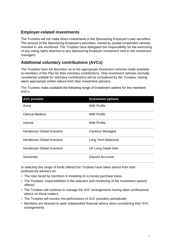#### <span id="page-10-0"></span>**Employer-related investments**

The Trustees will not make direct investments in the Sponsoring Employer's own securities. The amount of the Sponsoring Employer's securities, owned by pooled investment vehicles invested in, are monitored. The Trustees have delegated the responsibility for the exercising of any voting rights attached to any Sponsoring Employer investment held to the investment managers.

#### <span id="page-10-1"></span>**Additional voluntary contributions (AVCs)**

The Trustees have full discretion as to the appropriate investment vehicles made available to members of the Plan for their voluntary contributions. Only investment vehicles normally considered suitable for voluntary contributions will be considered by the Trustees, having taken appropriate written advice from their investment advisers.

The Trustees make available the following range of investment options for the members' AVCs:

| <b>AVC provider</b>               | <b>Investment options</b>  |
|-----------------------------------|----------------------------|
| Aviva                             | <b>With Profits</b>        |
| <b>Clerical Medical</b>           | <b>With Profits</b>        |
| <b>Utmost</b>                     | <b>With Profits</b>        |
| <b>Henderson Global Investors</b> | <b>Cautious Managed</b>    |
| <b>Henderson Global Investors</b> | Long Term Balanced         |
| <b>Henderson Global Investors</b> | <b>UK Long Dated Gilts</b> |
| Santander                         | <b>Deposit Accounts</b>    |

In selecting this range of funds offered the Trustees have taken advice from their professional advisers on:

- The risks faced by members in investing on a money purchase basis.
- The Trustees' responsibilities in the selection and monitoring of the investment options offered.
- The Trustees will continue to manage the AVC arrangements having taken professional advice on these matters.
- The Trustees will monitor the performance of AVC providers periodically.
- Members are directed to seek independent financial advice when considering their AVC arrangements.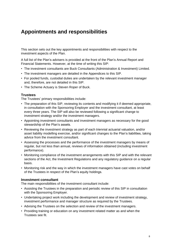## <span id="page-11-0"></span>**Appointments and responsibilities**

This section sets out the key appointments and responsibilities with respect to the investment aspects of the Plan.

A full list of the Plan's advisers is provided at the front of the Plan's Annual Report and Financial Statements. However, at the time of writing this SIP:

- The investment consultants are Buck Consultants (Administration & Investment) Limited.
- The investment managers are detailed in the Appendices to this SIP.
- For pooled funds, custodial duties are undertaken by the relevant investment manager and, therefore, are not detailed in this SIP.
- The Scheme Actuary is Steven Roper of Buck.

#### **Trustees**

The Trustees' primary responsibilities include:

- The preparation of this SIP, reviewing its contents and modifying it if deemed appropriate, in consultation with the Sponsoring Employer and the investment consultant, at least every three years. The SIP will also be reviewed following a significant change to investment strategy and/or the investment managers.
- Appointing investment consultants and investment managers as necessary for the good stewardship of the Plan's assets.
- Reviewing the investment strategy as part of each triennial actuarial valuation, and/or asset liability modelling exercise, and/or significant changes to the Plan's liabilities, taking advice from the investment consultant.
- Assessing the processes and the performance of the investment managers by means of regular, but not less than annual, reviews of information obtained (including investment performance).
- Monitoring compliance of the investment arrangements with this SIP and with the relevant sections of the Act, the Investment Regulations and any regulatory guidance on a regular basis.
- Monitoring risk and the way in which the investment managers have cast votes on behalf of the Trustees in respect of the Plan's equity holdings.

#### **Investment consultant**

The main responsibilities of the investment consultant include:

- Assisting the Trustees in the preparation and periodic review of this SIP in consultation with the Sponsoring Employer.
- Undertaking project work including the development and review of investment strategy, investment performance and manager structure as required by the Trustees.
- Advising the Trustees on the selection and review of the investment managers.
- Providing training or education on any investment related matter as and when the Trustees see fit.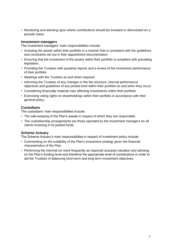• Monitoring and advising upon where contributions should be invested or disinvested on a periodic basis.

#### **Investment managers**

The investment managers' main responsibilities include:

- Investing the assets within their portfolio in a manner that is consistent with the guidelines and constraints set out in their appointment documentation.
- Ensuring that the investment of the assets within their portfolio is compliant with prevailing legislation.
- Providing the Trustees with quarterly reports and a review of the investment performance of their portfolio.
- Meetings with the Trustees as and when required.
- Informing the Trustees of any changes in the fee structure, internal performance objectives and guidelines of any pooled fund within their portfolio as and when they occur.
- Considering financially material risks affecting investments within their portfolio.
- Exercising voting rights on shareholdings within their portfolio in accordance with their general policy.

#### **Custodians**

The custodians' main responsibilities include:

- The safe-keeping of the Plan's assets in respect of which they are responsible.
- The custodianship arrangements are those operated by the investment managers for all clients investing in its pooled funds.

#### **Scheme Actuary**

The Scheme Actuary's main responsibilities in respect of investment policy include:

- Commenting on the suitability of the Plan's investment strategy given the financial characteristics of the Plan.
- Performing the triennial (or more frequently as required) actuarial valuation and advising on the Plan's funding level and therefore the appropriate level of contributions in order to aid the Trustees in balancing short-term and long-term investment objectives.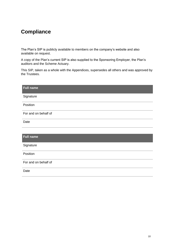## <span id="page-13-0"></span>**Compliance**

The Plan's SIP is publicly available to members on the company's website and also available on request.

A copy of the Plan's current SIP is also supplied to the Sponsoring Employer, the Plan's auditors and the Scheme Actuary.

This SIP, taken as a whole with the Appendices, supersedes all others and was approved by the Trustees.

| <b>Full name</b>     |
|----------------------|
| Signature            |
| Position             |
| For and on behalf of |
| Date                 |
|                      |
| <b>Full name</b>     |
| Signature            |
| Position             |
| For and on behalf of |
| Date                 |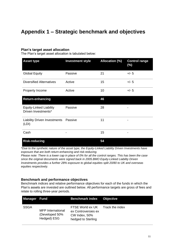## <span id="page-14-0"></span>**Appendix 1 – Strategic benchmark and objectives**

#### **Plan's target asset allocation**

The Plan's target asset allocation is tabulated below:

| <b>Asset type</b>                                     | <b>Investment style</b> | <b>Allocation (%)</b> | <b>Control range</b><br>(%) |
|-------------------------------------------------------|-------------------------|-----------------------|-----------------------------|
| <b>Global Equity</b>                                  | Passive                 | 21                    | $+/- 5$                     |
| <b>Diversified Alternatives</b>                       | Active                  | 15                    | $+/- 5$                     |
| Property Income                                       | Active                  | 10                    | $+/- 5$                     |
| <b>Return-enhancing</b>                               |                         | 46                    |                             |
| <b>Equity-Linked Liability</b><br>Driven Investments* | Passive                 | 28                    | -                           |
| <b>Liability Driven Investments</b><br>(LDI)          | Passive                 | 11                    | -                           |
| Cash                                                  | -                       | 15                    | -                           |

#### **Risk-reducing 54**

*\*Due to the synthetic nature of the asset type, the Equity-Linked Liability Driven Investments have exposure that are both return-enhancing and risk-reducing.*

*Please note: There is a lower cap in place of 0% for all the control ranges. This has been the case since the original documents were signed back in 2005.BMO Equity-Linked Liability Driven Investments provides a further 28% exposure to global equities split 20/80 to UK and overseas equities respectively.*

#### **Benchmark and performance objectives**

Benchmark indices and relative performance objectives for each of the funds in which the Plan's assets are invested are outlined below. All performance targets are gross of fees and relate to rolling three-year periods.

| <b>Manager Fund</b> |                                                           | <b>Benchmark index</b>                                                         | <b>Objective</b> |
|---------------------|-----------------------------------------------------------|--------------------------------------------------------------------------------|------------------|
| <b>SSGA</b>         | <b>MFP</b> International<br>(Developed 50%<br>Hedged) ESG | FTSE World ex UK<br>ex Controversies ex<br>CW Index, 50%<br>hedged to Sterling | Track the index  |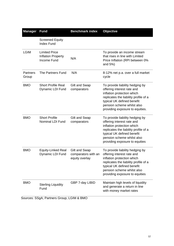| <b>Manager</b>           | <b>Fund</b>                                                      | <b>Benchmark index</b>                                 | <b>Objective</b>                                                                                                                                                                                                                    |
|--------------------------|------------------------------------------------------------------|--------------------------------------------------------|-------------------------------------------------------------------------------------------------------------------------------------------------------------------------------------------------------------------------------------|
|                          | <b>Screened Equity</b><br><b>Index Fund</b>                      |                                                        |                                                                                                                                                                                                                                     |
| <b>LGIM</b>              | <b>Limited Price</b><br><b>Inflation Property</b><br>Income Fund | N/A                                                    | To provide an income stream<br>that rises in line with Limited<br>Price Inflation (RPI between 0%<br>and 5%)                                                                                                                        |
| <b>Partners</b><br>Group | The Partners Fund                                                | N/A                                                    | 8-12% net p.a. over a full market<br>cycle                                                                                                                                                                                          |
| <b>BMO</b>               | <b>Short Profile Real</b><br>Dynamic LDI Fund                    | Gilt and Swap<br>comparators                           | To provide liability hedging by<br>offering interest rate and<br>inflation protection which<br>replicates the liability profile of a<br>typical UK defined benefit<br>pension scheme whilst also<br>providing exposure to equities. |
| <b>BMO</b>               | <b>Short Profile</b><br><b>Nominal LDI Fund</b>                  | Gilt and Swap<br>comparators                           | To provide liability hedging by<br>offering interest rate and<br>inflation protection which<br>replicates the liability profile of a<br>typical UK defined benefit<br>pension scheme whilst also<br>providing exposure to equities  |
| <b>BMO</b>               | <b>Equity-Linked Real</b><br>Dynamic LDI Fund                    | Gilt and Swap<br>comparators with an<br>equity overlay | To provide liability hedging by<br>offering interest rate and<br>inflation protection which<br>replicates the liability profile of a<br>typical UK defined benefit<br>pension scheme whilst also<br>providing exposure to equities  |
| <b>BMO</b>               | <b>Sterling Liquidity</b><br>Fund<br>Destrate Croup   CIM & DMC  | GBP 7-day LIBID                                        | Maintain high levels of liquidity<br>and generate a return in line<br>with money market rates                                                                                                                                       |

Sources: SSgA, Partners Group, LGIM & BMO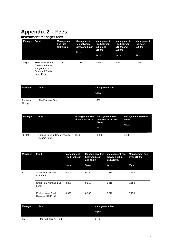## <span id="page-16-0"></span>**Appendix 2 – Fees**

#### **Investment manager fees**

| Manager | Fund                                                                                             | <b>Management</b><br>Fee first<br>£30m%p.a. | Management<br>Fee between<br>£30m and £60m<br>%p.a. | <b>Management</b><br>Fee between<br>£60m and<br>£150m | Management<br>Fee between<br>£150m and<br>£300m | <b>Management</b><br>fee over<br>£300m |
|---------|--------------------------------------------------------------------------------------------------|---------------------------------------------|-----------------------------------------------------|-------------------------------------------------------|-------------------------------------------------|----------------------------------------|
|         |                                                                                                  |                                             |                                                     | %p.a.                                                 | %p.a.                                           | %p.a.                                  |
| SSgA    | <b>MFP</b> International<br>Developed 50%<br>Hedged) ESG<br><b>Screened Equity</b><br>Index Fund | 0.075                                       | 0.070                                               | 0.065                                                 | 0.060                                           | 0.055                                  |

| Manager<br>Fund   |                   | <b>Management Fee</b> |
|-------------------|-------------------|-----------------------|
|                   |                   | % p.a.                |
| Partners<br>Group | The Partners Fund | 1.500                 |

| Manager | Fund                                                   | first $E7.5m$ %p.a. | <b>Management Fee Management Fee</b><br>between £7.5m and<br>£20m<br>%p.a. | <b>Management Fee over</b><br>£20m<br>%p.a. |
|---------|--------------------------------------------------------|---------------------|----------------------------------------------------------------------------|---------------------------------------------|
| LGIM    | <b>Limited Price Inflation Property</b><br>Income Fund | 0.400               | 0.350                                                                      | 0.300                                       |

| <b>Manager</b> | <b>Fund</b>                            | <b>Management</b><br>Fee first £15m | <b>Management Fee</b><br>between £15m<br>and £50m | <b>Management Fee</b><br>between £50m<br>and £100m | <b>Management Fee</b><br>over £100m |
|----------------|----------------------------------------|-------------------------------------|---------------------------------------------------|----------------------------------------------------|-------------------------------------|
|                |                                        | %p.a.                               | %p.a.                                             | %p.a.                                              | %p.a.                               |
| <b>BMO</b>     | <b>Short Real Dynamic</b><br>LDI Fund  | 0.300                               | 0.250                                             | 0.210                                              | 0.180                               |
|                | Short Real Nominal LDI<br>Fund         | 0.300                               | 0.250                                             | 0.210                                              | 0.180                               |
|                | Equity-Linked Real<br>Dynamic LDI Fund | 0.320                               | 0.300                                             | 0.270                                              | 0.250                               |

| <b>Manager</b> | Fund                           | <b>Management Fee</b> |
|----------------|--------------------------------|-----------------------|
|                |                                | % p.a.                |
| <b>BMO</b>     | <b>Sterling Liquidity Fund</b> | 0.100                 |